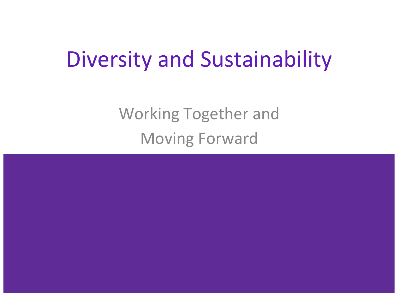#### Diversity and Sustainability

Working Together and Moving Forward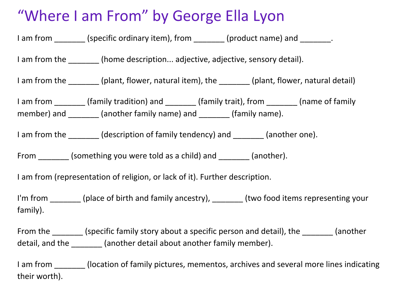#### "Where I am From" by George Ella Lyon

| I am from ________ (specific ordinary item), from _______ (product name) and ________.                                                                                                                                                                                                                                                                                                                                                                                                                                    |  |  |  |  |
|---------------------------------------------------------------------------------------------------------------------------------------------------------------------------------------------------------------------------------------------------------------------------------------------------------------------------------------------------------------------------------------------------------------------------------------------------------------------------------------------------------------------------|--|--|--|--|
| I am from the _________ (home description adjective, adjective, sensory detail).                                                                                                                                                                                                                                                                                                                                                                                                                                          |  |  |  |  |
| I am from the ________ (plant, flower, natural item), the _______ (plant, flower, natural detail)                                                                                                                                                                                                                                                                                                                                                                                                                         |  |  |  |  |
| I am from ________ (family tradition) and ________ (family trait), from _______ (name of family<br>member) and $\frac{1}{\sqrt{1-\frac{1}{\sqrt{1-\frac{1}{\sqrt{1-\frac{1}{\sqrt{1-\frac{1}{\sqrt{1-\frac{1}{\sqrt{1-\frac{1}{\sqrt{1-\frac{1}{\sqrt{1-\frac{1}{\sqrt{1-\frac{1}{\sqrt{1-\frac{1}{\sqrt{1-\frac{1}{\sqrt{1-\frac{1}{\sqrt{1-\frac{1}{\sqrt{1-\frac{1}{\sqrt{1-\frac{1}{\sqrt{1-\frac{1}{\sqrt{1-\frac{1}{\sqrt{1-\frac{1}{\sqrt{1-\frac{1}{\sqrt{1-\frac{1}{\sqrt{1-\frac{1}{\sqrt{1-\frac{1}{\sqrt{1-\$ |  |  |  |  |
| I am from the ________ (description of family tendency) and _______ (another one).                                                                                                                                                                                                                                                                                                                                                                                                                                        |  |  |  |  |
| From (something you were told as a child) and (another).                                                                                                                                                                                                                                                                                                                                                                                                                                                                  |  |  |  |  |
| I am from (representation of religion, or lack of it). Further description.                                                                                                                                                                                                                                                                                                                                                                                                                                               |  |  |  |  |
| I'm from _______ (place of birth and family ancestry), _______ (two food items representing your<br>family).                                                                                                                                                                                                                                                                                                                                                                                                              |  |  |  |  |
| From the ________ (specific family story about a specific person and detail), the ________ (another<br>detail, and the ________ (another detail about another family member).                                                                                                                                                                                                                                                                                                                                             |  |  |  |  |
| the configuration of the first contract of the contract of the contract of the contract of the contract of the                                                                                                                                                                                                                                                                                                                                                                                                            |  |  |  |  |

I am from \_\_\_\_\_\_\_ (location of family pictures, mementos, archives and several more lines indicating their worth).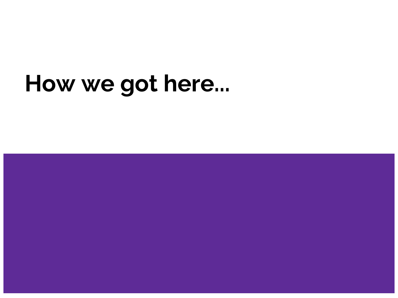#### **How we got here...**

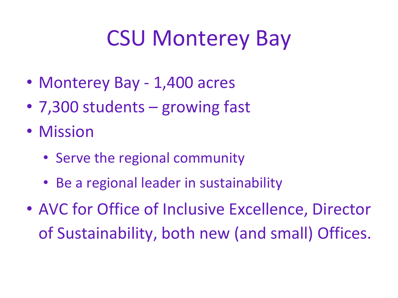## CSU Monterey Bay

- Monterey Bay 1,400 acres
- 7,300 students growing fast
- Mission
	- Serve the regional community
	- Be a regional leader in sustainability
- AVC for Office of Inclusive Excellence, Director of Sustainability, both new (and small) Offices.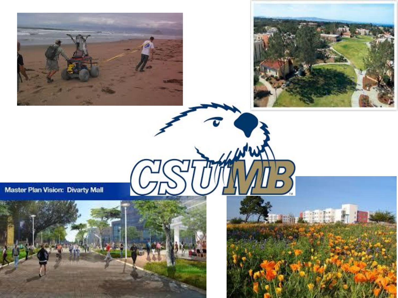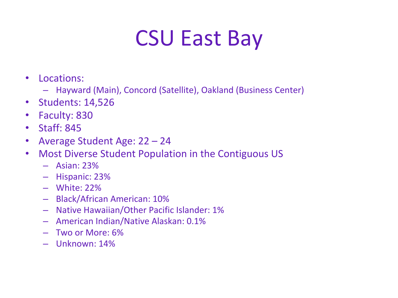## CSU East Bay

- Locations:
	- Hayward (Main), Concord (Satellite), Oakland (Business Center)
- Students: 14,526
- Faculty: 830
- Staff: 845
- Average Student Age: 22 24
- Most Diverse Student Population in the Contiguous US
	- Asian: 23%
	- Hispanic: 23%
	- White: 22%
	- Black/African American: 10%
	- Native Hawaiian/Other Pacific Islander: 1%
	- American Indian/Native Alaskan: 0.1%
	- Two or More: 6%
	- Unknown: 14%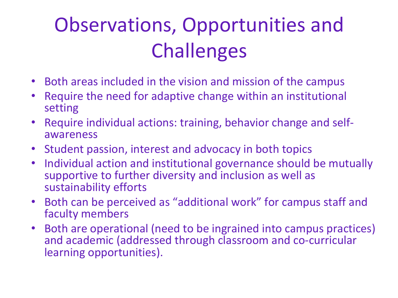### Observations, Opportunities and **Challenges**

- Both areas included in the vision and mission of the campus
- Require the need for adaptive change within an institutional setting
- Require individual actions: training, behavior change and selfawareness
- Student passion, interest and advocacy in both topics
- Individual action and institutional governance should be mutually supportive to further diversity and inclusion as well as sustainability efforts
- Both can be perceived as "additional work" for campus staff and faculty members
- Both are operational (need to be ingrained into campus practices) and academic (addressed through classroom and co-curricular learning opportunities).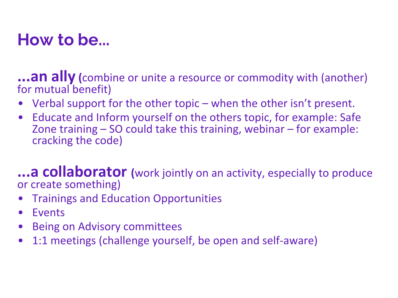#### **How to be...**

**...an ally (**combine or unite a resource or commodity with (another) for mutual benefit)

- Verbal support for the other topic when the other isn't present.
- Educate and Inform yourself on the others topic, for example: Safe Zone training – SO could take this training, webinar – for example: cracking the code)

**...a collaborator (**work jointly on an activity, especially to produce or create something)

- Trainings and Education Opportunities
- Events
- Being on Advisory committees
- 1:1 meetings (challenge yourself, be open and self-aware)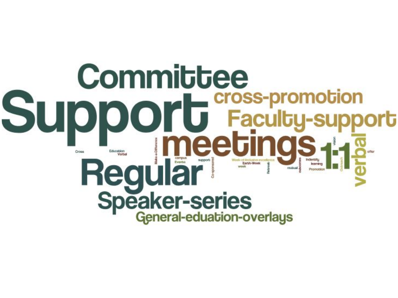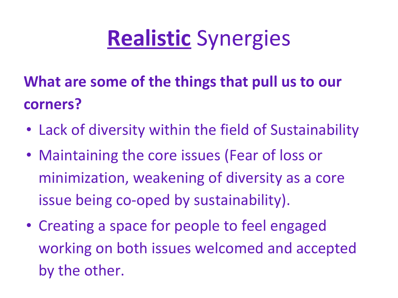# **Realistic** Synergies

#### **What are some of the things that pull us to our corners?**

- Lack of diversity within the field of Sustainability
- Maintaining the core issues (Fear of loss or minimization, weakening of diversity as a core issue being co-oped by sustainability).
- Creating a space for people to feel engaged working on both issues welcomed and accepted by the other.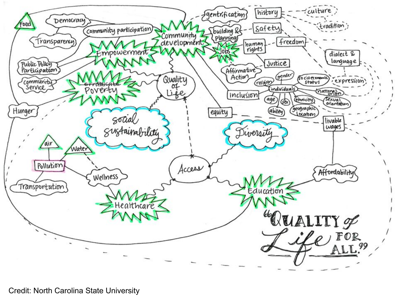

Credit: North Carolina State University